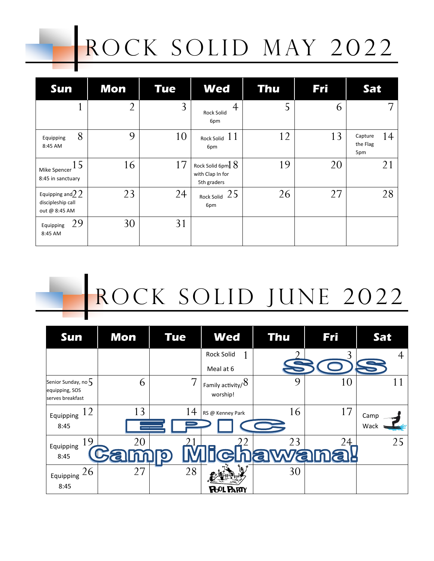## ROCK SOLID MAY 2022

| <b>Sun</b>                                               | Mon            | <b>Tue</b> | <b>Wed</b>                                             | <b>Thu</b> | <b>Fri</b> | <b>Sat</b>                       |
|----------------------------------------------------------|----------------|------------|--------------------------------------------------------|------------|------------|----------------------------------|
|                                                          | $\overline{2}$ | 3          | $\overline{4}$<br><b>Rock Solid</b><br>6pm             | 5          | 6          |                                  |
| 8<br>Equipping<br>8:45 AM                                | 9              | 10         | Rock Solid $11$<br>6pm                                 | 12         | 13         | 14<br>Capture<br>the Flag<br>5pm |
| 15<br>Mike Spencer<br>8:45 in sanctuary                  | 16             | 17         | Rock Solid 6pm $18$<br>with Clap In for<br>5th graders | 19         | 20         | 21                               |
| Equipping and $22$<br>discipleship call<br>out @ 8:45 AM | 23             | 24         | 25<br>Rock Solid<br>6pm                                | 26         | 27         | 28                               |
| 29<br>Equipping<br>8:45 AM                               | 30             | 31         |                                                        |            |            |                                  |

## ROCK SOLID JUNE 2022

| <b>Sun</b>                                                  | <b>Mon</b> | <b>Tue</b>               | <b>Wed</b>                                      | <b>Thu</b>          | <b>Fri</b>       | Sat            |
|-------------------------------------------------------------|------------|--------------------------|-------------------------------------------------|---------------------|------------------|----------------|
|                                                             |            |                          | Rock Solid<br>Meal at 6                         |                     |                  | 4              |
| Senior Sunday, no $5$<br>equipping, SOS<br>serves breakfast | 6          | $\overline{\phantom{0}}$ | $^\circ$ Family activity/ $8^\circ$<br>worship! | 9                   | 10               | 1 <sup>1</sup> |
| $\sqrt{2}$<br>Equipping<br>8:45                             | 13         | 14                       | RS @ Kenney Park                                | 16                  | 17               | Camp<br>Wack   |
| 19<br>Equipping<br>8:45                                     | 20         |                          |                                                 | 23<br><b>awvall</b> | 24<br><b>Fak</b> | 25             |
| 26<br>Equipping<br>8:45                                     | 27         | 28                       | <b>ROL PARTY</b>                                | 30                  |                  |                |